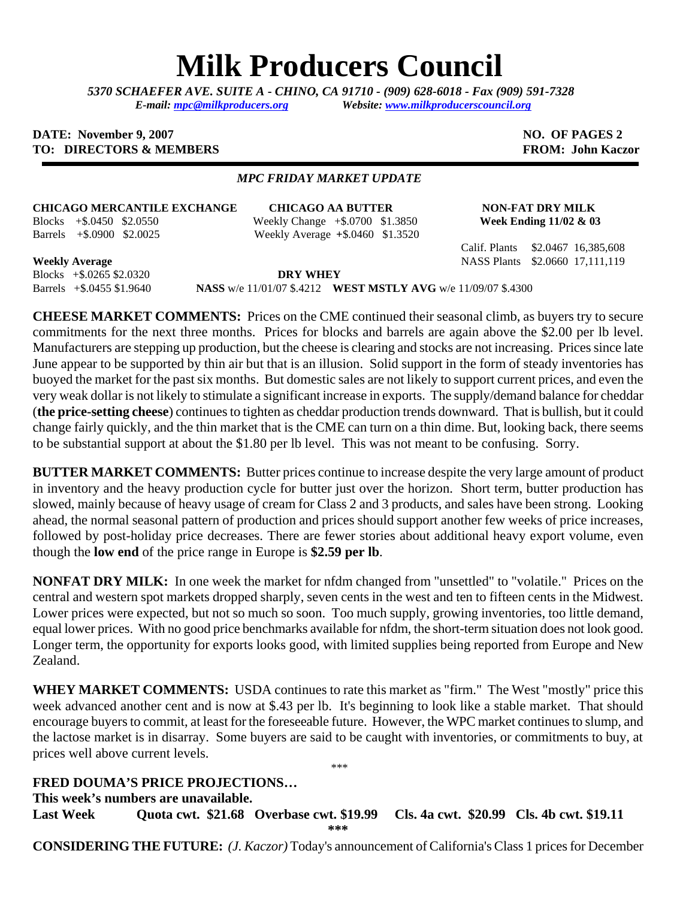## **Milk Producers Council**

*5370 SCHAEFER AVE. SUITE A* **-** *CHINO, CA 91710 - (909) 628-6018 - Fax (909) 591-7328 E-mail: [mpc@milkproducers.org](mailto:mpc@milkproducers.org) Website: [www.milkproducerscouncil.org](http://www.milkproducerscouncil.org/)* 

## **DATE:** November 9, 2007 **NO. OF PAGES 2 TO: DIRECTORS & MEMBERS FROM: John Kaczor FROM: John Kaczor**

## *MPC FRIDAY MARKET UPDATE*

## **CHICAGO MERCANTILE EXCHANGE CHICAGO AA BUTTER NON-FAT DRY MILK**

Blocks +\$.0450 \$2.0550 Weekly Change +\$.0700 \$1.3850 **Week Ending 11/02 & 03**  Barrels +\$.0900 \$2.0025 Weekly Average **+**\$.0460 \$1.3520

Calif. Plants \$2.0467 16,385,608

**Weekly Average** NASS Plants \$2.0660 17,111,119

Blocks +\$.0265 \$2.0320 **DRY WHEY** 

Barrels +\$.0455 \$1.9640 **NASS** w/e 11/01/07 \$.4212 **WEST MSTLY AVG** w/e 11/09/07 \$.4300

**CHEESE MARKET COMMENTS:** Prices on the CME continued their seasonal climb, as buyers try to secure commitments for the next three months. Prices for blocks and barrels are again above the \$2.00 per lb level. Manufacturers are stepping up production, but the cheese is clearing and stocks are not increasing. Prices since late June appear to be supported by thin air but that is an illusion. Solid support in the form of steady inventories has buoyed the market for the past six months. But domestic sales are not likely to support current prices, and even the very weak dollar is not likely to stimulate a significant increase in exports. The supply/demand balance for cheddar (**the price-setting cheese**) continues to tighten as cheddar production trends downward. That is bullish, but it could change fairly quickly, and the thin market that is the CME can turn on a thin dime. But, looking back, there seems to be substantial support at about the \$1.80 per lb level. This was not meant to be confusing. Sorry.

**BUTTER MARKET COMMENTS:** Butter prices continue to increase despite the very large amount of product in inventory and the heavy production cycle for butter just over the horizon. Short term, butter production has slowed, mainly because of heavy usage of cream for Class 2 and 3 products, and sales have been strong. Looking ahead, the normal seasonal pattern of production and prices should support another few weeks of price increases, followed by post-holiday price decreases. There are fewer stories about additional heavy export volume, even though the **low end** of the price range in Europe is **\$2.59 per lb**.

**NONFAT DRY MILK:** In one week the market for nfdm changed from "unsettled" to "volatile." Prices on the central and western spot markets dropped sharply, seven cents in the west and ten to fifteen cents in the Midwest. Lower prices were expected, but not so much so soon. Too much supply, growing inventories, too little demand, equal lower prices. With no good price benchmarks available for nfdm, the short-term situation does not look good. Longer term, the opportunity for exports looks good, with limited supplies being reported from Europe and New Zealand.

**WHEY MARKET COMMENTS:** USDA continues to rate this market as "firm." The West "mostly" price this week advanced another cent and is now at \$.43 per lb. It's beginning to look like a stable market. That should encourage buyers to commit, at least for the foreseeable future. However, the WPC market continues to slump, and the lactose market is in disarray. Some buyers are said to be caught with inventories, or commitments to buy, at prices well above current levels. \*\*\*

**FRED DOUMA'S PRICE PROJECTIONS…** 

**This week's numbers are unavailable.** 

**Last Week Quota cwt. \$21.68 Overbase cwt. \$19.99 Cls. 4a cwt. \$20.99 Cls. 4b cwt. \$19.11 \*\*\*** 

**CONSIDERING THE FUTURE:** *(J. Kaczor)* Today's announcement of California's Class 1 prices for December